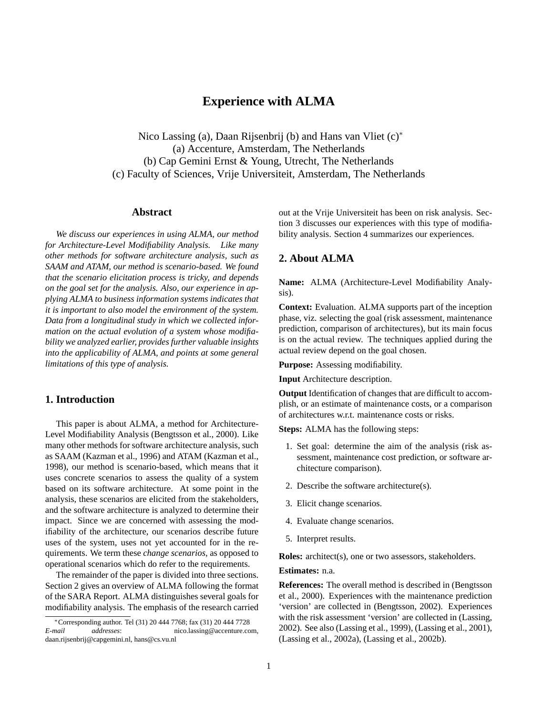# **Experience with ALMA**

Nico Lassing (a), Daan Rijsenbrij (b) and Hans van Vliet (c)<sup>∗</sup> (a) Accenture, Amsterdam, The Netherlands (b) Cap Gemini Ernst & Young, Utrecht, The Netherlands (c) Faculty of Sciences, Vrije Universiteit, Amsterdam, The Netherlands

### **Abstract**

*We discuss our experiences in using ALMA, our method for Architecture-Level Modifiability Analysis. Like many other methods for software architecture analysis, such as SAAM and ATAM, our method is scenario-based. We found that the scenario elicitation process is tricky, and depends on the goal set for the analysis. Also, our experience in applying ALMA to business information systems indicates that it is important to also model the environment of the system. Data from a longitudinal study in which we collected information on the actual evolution of a system whose modifiability we analyzed earlier, provides further valuable insights into the applicability of ALMA, and points at some general limitations of this type of analysis.*

# **1. Introduction**

This paper is about ALMA, a method for Architecture-Level Modifiability Analysis (Bengtsson et al., 2000). Like many other methods for software architecture analysis, such as SAAM (Kazman et al., 1996) and ATAM (Kazman et al., 1998), our method is scenario-based, which means that it uses concrete scenarios to assess the quality of a system based on its software architecture. At some point in the analysis, these scenarios are elicited from the stakeholders, and the software architecture is analyzed to determine their impact. Since we are concerned with assessing the modifiability of the architecture, our scenarios describe future uses of the system, uses not yet accounted for in the requirements. We term these *change scenarios*, as opposed to operational scenarios which do refer to the requirements.

The remainder of the paper is divided into three sections. Section 2 gives an overview of ALMA following the format of the SARA Report. ALMA distinguishes several goals for modifiability analysis. The emphasis of the research carried

out at the Vrije Universiteit has been on risk analysis. Section 3 discusses our experiences with this type of modifiability analysis. Section 4 summarizes our experiences.

# **2. About ALMA**

**Name:** ALMA (Architecture-Level Modifiability Analysis).

**Context:** Evaluation. ALMA supports part of the inception phase, viz. selecting the goal (risk assessment, maintenance prediction, comparison of architectures), but its main focus is on the actual review. The techniques applied during the actual review depend on the goal chosen.

**Purpose:** Assessing modifiability.

**Input** Architecture description.

**Output** Identification of changes that are difficult to accomplish, or an estimate of maintenance costs, or a comparison of architectures w.r.t. maintenance costs or risks.

**Steps:** ALMA has the following steps:

- 1. Set goal: determine the aim of the analysis (risk assessment, maintenance cost prediction, or software architecture comparison).
- 2. Describe the software architecture(s).
- 3. Elicit change scenarios.
- 4. Evaluate change scenarios.
- 5. Interpret results.

**Roles:** architect(s), one or two assessors, stakeholders.

#### **Estimates:** n.a.

**References:** The overall method is described in (Bengtsson et al., 2000). Experiences with the maintenance prediction 'version' are collected in (Bengtsson, 2002). Experiences with the risk assessment 'version' are collected in (Lassing, 2002). See also (Lassing et al., 1999), (Lassing et al., 2001), (Lassing et al., 2002a), (Lassing et al., 2002b).

<sup>∗</sup>Corresponding author. Tel (31) 20 444 7768; fax (31) 20 444 7728 *E-mail addresses*: nico.lassing@accenture.com, daan.rijsenbrij@capgemini.nl, hans@cs.vu.nl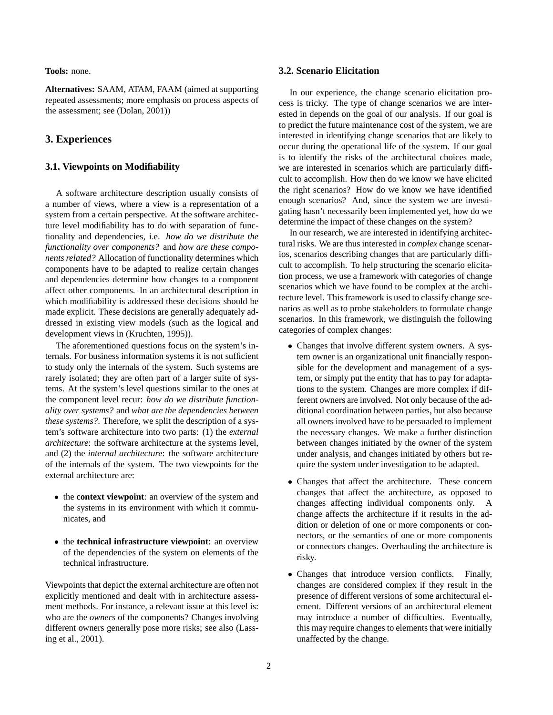#### **Tools:** none.

**Alternatives:** SAAM, ATAM, FAAM (aimed at supporting repeated assessments; more emphasis on process aspects of the assessment; see (Dolan, 2001))

## **3. Experiences**

### **3.1. Viewpoints on Modifiability**

A software architecture description usually consists of a number of views, where a view is a representation of a system from a certain perspective. At the software architecture level modifiability has to do with separation of functionality and dependencies, i.e. *how do we distribute the functionality over components?* and *how are these components related?* Allocation of functionality determines which components have to be adapted to realize certain changes and dependencies determine how changes to a component affect other components. In an architectural description in which modifiability is addressed these decisions should be made explicit. These decisions are generally adequately addressed in existing view models (such as the logical and development views in (Kruchten, 1995)).

The aforementioned questions focus on the system's internals. For business information systems it is not sufficient to study only the internals of the system. Such systems are rarely isolated; they are often part of a larger suite of systems. At the system's level questions similar to the ones at the component level recur: *how do we distribute functionality over systems?* and *what are the dependencies between these systems?*. Therefore, we split the description of a system's software architecture into two parts: (1) the *external architecture*: the software architecture at the systems level, and (2) the *internal architecture*: the software architecture of the internals of the system. The two viewpoints for the external architecture are:

- the **context viewpoint**: an overview of the system and the systems in its environment with which it communicates, and
- the **technical infrastructure viewpoint**: an overview of the dependencies of the system on elements of the technical infrastructure.

Viewpoints that depict the external architecture are often not explicitly mentioned and dealt with in architecture assessment methods. For instance, a relevant issue at this level is: who are the *owners* of the components? Changes involving different owners generally pose more risks; see also (Lassing et al., 2001).

## **3.2. Scenario Elicitation**

In our experience, the change scenario elicitation process is tricky. The type of change scenarios we are interested in depends on the goal of our analysis. If our goal is to predict the future maintenance cost of the system, we are interested in identifying change scenarios that are likely to occur during the operational life of the system. If our goal is to identify the risks of the architectural choices made, we are interested in scenarios which are particularly difficult to accomplish. How then do we know we have elicited the right scenarios? How do we know we have identified enough scenarios? And, since the system we are investigating hasn't necessarily been implemented yet, how do we determine the impact of these changes on the system?

In our research, we are interested in identifying architectural risks. We are thus interested in *complex* change scenarios, scenarios describing changes that are particularly difficult to accomplish. To help structuring the scenario elicitation process, we use a framework with categories of change scenarios which we have found to be complex at the architecture level. This framework is used to classify change scenarios as well as to probe stakeholders to formulate change scenarios. In this framework, we distinguish the following categories of complex changes:

- Changes that involve different system owners. A system owner is an organizational unit financially responsible for the development and management of a system, or simply put the entity that has to pay for adaptations to the system. Changes are more complex if different owners are involved. Not only because of the additional coordination between parties, but also because all owners involved have to be persuaded to implement the necessary changes. We make a further distinction between changes initiated by the owner of the system under analysis, and changes initiated by others but require the system under investigation to be adapted.
- Changes that affect the architecture. These concern changes that affect the architecture, as opposed to changes affecting individual components only. A change affects the architecture if it results in the addition or deletion of one or more components or connectors, or the semantics of one or more components or connectors changes. Overhauling the architecture is risky.
- Changes that introduce version conflicts. Finally, changes are considered complex if they result in the presence of different versions of some architectural element. Different versions of an architectural element may introduce a number of difficulties. Eventually, this may require changes to elements that were initially unaffected by the change.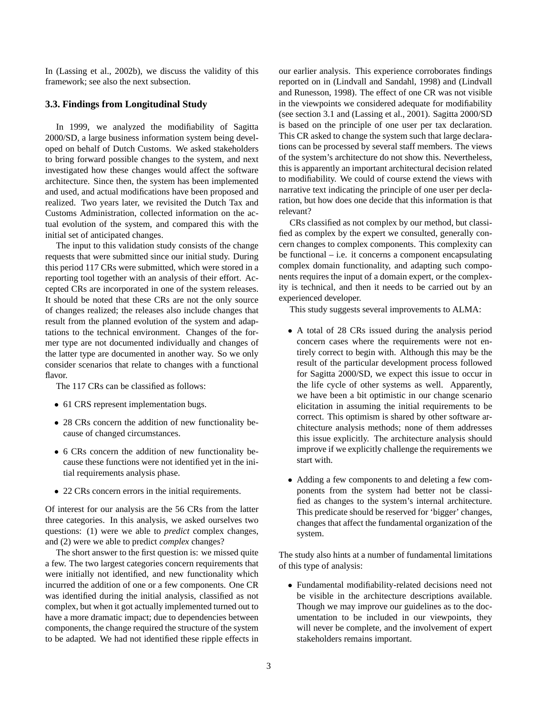In (Lassing et al., 2002b), we discuss the validity of this framework; see also the next subsection.

## **3.3. Findings from Longitudinal Study**

In 1999, we analyzed the modifiability of Sagitta 2000/SD, a large business information system being developed on behalf of Dutch Customs. We asked stakeholders to bring forward possible changes to the system, and next investigated how these changes would affect the software architecture. Since then, the system has been implemented and used, and actual modifications have been proposed and realized. Two years later, we revisited the Dutch Tax and Customs Administration, collected information on the actual evolution of the system, and compared this with the initial set of anticipated changes.

The input to this validation study consists of the change requests that were submitted since our initial study. During this period 117 CRs were submitted, which were stored in a reporting tool together with an analysis of their effort. Accepted CRs are incorporated in one of the system releases. It should be noted that these CRs are not the only source of changes realized; the releases also include changes that result from the planned evolution of the system and adaptations to the technical environment. Changes of the former type are not documented individually and changes of the latter type are documented in another way. So we only consider scenarios that relate to changes with a functional flavor.

The 117 CRs can be classified as follows:

- 61 CRS represent implementation bugs.
- 28 CRs concern the addition of new functionality because of changed circumstances.
- 6 CRs concern the addition of new functionality because these functions were not identified yet in the initial requirements analysis phase.
- 22 CRs concern errors in the initial requirements.

Of interest for our analysis are the 56 CRs from the latter three categories. In this analysis, we asked ourselves two questions: (1) were we able to *predict* complex changes, and (2) were we able to predict *complex* changes?

The short answer to the first question is: we missed quite a few. The two largest categories concern requirements that were initially not identified, and new functionality which incurred the addition of one or a few components. One CR was identified during the initial analysis, classified as not complex, but when it got actually implemented turned out to have a more dramatic impact; due to dependencies between components, the change required the structure of the system to be adapted. We had not identified these ripple effects in

our earlier analysis. This experience corroborates findings reported on in (Lindvall and Sandahl, 1998) and (Lindvall and Runesson, 1998). The effect of one CR was not visible in the viewpoints we considered adequate for modifiability (see section 3.1 and (Lassing et al., 2001). Sagitta 2000/SD is based on the principle of one user per tax declaration. This CR asked to change the system such that large declarations can be processed by several staff members. The views of the system's architecture do not show this. Nevertheless, this is apparently an important architectural decision related to modifiability. We could of course extend the views with narrative text indicating the principle of one user per declaration, but how does one decide that this information is that relevant?

CRs classified as not complex by our method, but classified as complex by the expert we consulted, generally concern changes to complex components. This complexity can be functional – i.e. it concerns a component encapsulating complex domain functionality, and adapting such components requires the input of a domain expert, or the complexity is technical, and then it needs to be carried out by an experienced developer.

This study suggests several improvements to ALMA:

- A total of 28 CRs issued during the analysis period concern cases where the requirements were not entirely correct to begin with. Although this may be the result of the particular development process followed for Sagitta 2000/SD, we expect this issue to occur in the life cycle of other systems as well. Apparently, we have been a bit optimistic in our change scenario elicitation in assuming the initial requirements to be correct. This optimism is shared by other software architecture analysis methods; none of them addresses this issue explicitly. The architecture analysis should improve if we explicitly challenge the requirements we start with.
- Adding a few components to and deleting a few components from the system had better not be classified as changes to the system's internal architecture. This predicate should be reserved for 'bigger' changes, changes that affect the fundamental organization of the system.

The study also hints at a number of fundamental limitations of this type of analysis:

• Fundamental modifiability-related decisions need not be visible in the architecture descriptions available. Though we may improve our guidelines as to the documentation to be included in our viewpoints, they will never be complete, and the involvement of expert stakeholders remains important.